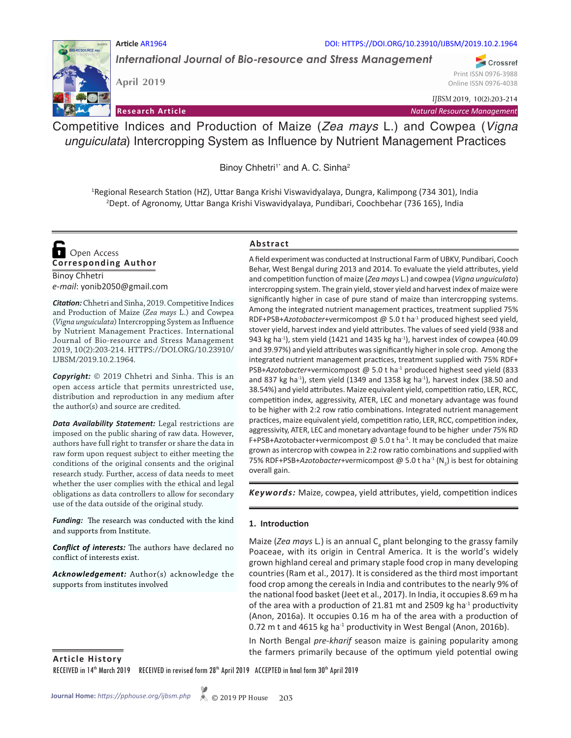#### **Article** AR1964 DOI: HTTPS://DOI.ORG/10.23910/IJBSM/2019.10.2.1964

*International Journal of Bio-resource and Stress Management*

**April 2019**

Online ISSN 0976-4038 *IJBSM* 2019, 10(2):203-214

Print ISSN 0976-3988

Crossref

**Research Article** *Natural Resource Management*

Competitive Indices and Production of Maize (*Zea mays* L.) and Cowpea (*Vigna unguiculata*) Intercropping System as Influence by Nutrient Management Practices

Binoy Chhetri<sup>1\*</sup> and A. C. Sinha<sup>2</sup>

1 Regional Research Station (HZ), Uttar Banga Krishi Viswavidyalaya, Dungra, Kalimpong (734 301), India 2 Dept. of Agronomy, Uttar Banga Krishi Viswavidyalaya, Pundibari, Coochbehar (736 165), India

**Corresponding Author**  Open Access

Binoy Chhetri *e-mail*: yonib2050@gmail.com

*Citation:* Chhetri and Sinha, 2019. Competitive Indices and Production of Maize (*Zea mays* L.) and Cowpea (*Vigna unguiculata*) Intercropping System as Influence by Nutrient Management Practices. International Journal of Bio-resource and Stress Management 2019, 10(2):203-214. HTTPS://DOI.ORG/10.23910/ IJBSM/2019.10.2.1964.

*Copyright:* © 2019 Chhetri and Sinha. This is an open access article that permits unrestricted use, distribution and reproduction in any medium after the author(s) and source are credited.

*Data Availability Statement:* Legal restrictions are imposed on the public sharing of raw data. However, authors have full right to transfer or share the data in raw form upon request subject to either meeting the conditions of the original consents and the original research study. Further, access of data needs to meet whether the user complies with the ethical and legal obligations as data controllers to allow for secondary use of the data outside of the original study.

*Funding:* The research was conducted with the kind and supports from Institute.

*Conflict of interests:* The authors have declared no conflict of interests exist.

*Acknowledgement:* Author(s) acknowledge the supports from institutes involved

### **Abstract**

A field experiment was conducted at Instructional Farm of UBKV, Pundibari, Cooch Behar, West Bengal during 2013 and 2014. To evaluate the yield attributes, yield and competition function of maize (*Zea mays* L.) and cowpea (*Vigna unguiculata*) intercropping system. The grain yield, stover yield and harvest index of maize were significantly higher in case of pure stand of maize than intercropping systems. Among the integrated nutrient management practices, treatment supplied 75% RDF+PSB+*Azotobacter*+vermicompost @ 5.0 t ha-1 produced highest seed yield, stover yield, harvest index and yield attributes. The values of seed yield (938 and 943 kg ha<sup>-1</sup>), stem yield (1421 and 1435 kg ha<sup>-1</sup>), harvest index of cowpea (40.09 and 39.97%) and yield attributes was significantly higher in sole crop. Among the integrated nutrient management practices, treatment supplied with 75% RDF+ PSB+Azotobacter+vermicompost @ 5.0 t ha<sup>-1</sup> produced highest seed yield (833 and 837 kg ha<sup>-1</sup>), stem yield (1349 and 1358 kg ha<sup>-1</sup>), harvest index (38.50 and 38.54%) and yield attributes. Maize equivalent yield, competition ratio, LER, RCC, competition index, aggressivity, ATER, LEC and monetary advantage was found to be higher with 2:2 row ratio combinations. Integrated nutrient management practices, maize equivalent yield, competition ratio, LER, RCC, competition index, aggressivity, ATER, LEC and monetary advantage found to be higher under 75% RD F+PSB+Azotobacter+vermicompost  $\omega$  5.0 t ha<sup>-1</sup>. It may be concluded that maize grown as intercrop with cowpea in 2:2 row ratio combinations and supplied with 75% RDF+PSB+*Azotobacter*+vermicompost @ 5.0 t ha<sup>-1</sup> (N<sub>3</sub>) is best for obtaining overall gain.

*Keywords:* Maize, cowpea, yield attributes, yield, competition indices

#### **1. Introduction**

Maize (*Zea mays L.*) is an annual C<sub>4</sub> plant belonging to the grassy family Poaceae, with its origin in Central America. It is the world's widely grown highland cereal and primary staple food crop in many developing countries (Ram et al., 2017). It is considered as the third most important food crop among the cereals in India and contributes to the nearly 9% of the national food basket (Jeet et al., 2017). In India, it occupies 8.69 m ha of the area with a production of 21.81 mt and 2509 kg ha $^{-1}$  productivity (Anon, 2016a). It occupies 0.16 m ha of the area with a production of 0.72 m t and 4615 kg ha<sup>-1</sup> productivity in West Bengal (Anon, 2016b).

In North Bengal *pre-kharif* season maize is gaining popularity among the farmers primarily because of the optimum yield potential owing

**Article History**

RECEIVED in 14<sup>th</sup> March 2019 RECEIVED in revised form 28<sup>th</sup> April 2019 ACCEPTED in final form 30<sup>th</sup> April 2019

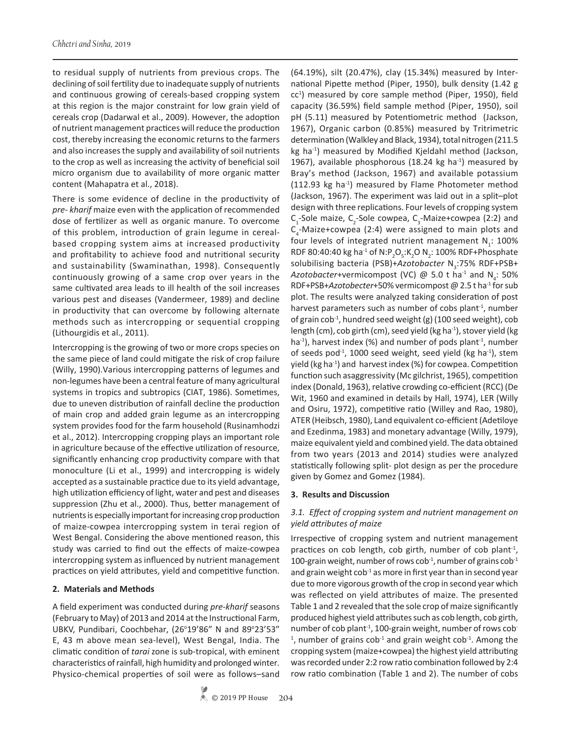to residual supply of nutrients from previous crops. The declining of soil fertility due to inadequate supply of nutrients and continuous growing of cereals-based cropping system at this region is the major constraint for low grain yield of cereals crop (Dadarwal et al., 2009). However, the adoption of nutrient management practices will reduce the production cost, thereby increasing the economic returns to the farmers and also increases the supply and availability of soil nutrients to the crop as well as increasing the activity of beneficial soil micro organism due to availability of more organic matter content (Mahapatra et al., 2018).

There is some evidence of decline in the productivity of *pre- kharif* maize even with the application of recommended dose of fertilizer as well as organic manure. To overcome of this problem, introduction of grain legume in cerealbased cropping system aims at increased productivity and profitability to achieve food and nutritional security and sustainability (Swaminathan, 1998). Consequently continuously growing of a same crop over years in the same cultivated area leads to ill health of the soil increases various pest and diseases (Vandermeer, 1989) and decline in productivity that can overcome by following alternate methods such as intercropping or sequential cropping (Lithourgidis et al., 2011).

Intercropping is the growing of two or more crops species on the same piece of land could mitigate the risk of crop failure (Willy, 1990).Various intercropping patterns of legumes and non-legumes have been a central feature of many agricultural systems in tropics and subtropics (CIAT, 1986). Sometimes, due to uneven distribution of rainfall decline the production of main crop and added grain legume as an intercropping system provides food for the farm household (Rusinamhodzi et al., 2012). Intercropping cropping plays an important role in agriculture because of the effective utilization of resource, significantly enhancing crop productivity compare with that monoculture (Li et al., 1999) and intercropping is widely accepted as a sustainable practice due to its yield advantage, high utilization efficiency of light, water and pest and diseases suppression (Zhu et al., 2000). Thus, better management of nutrients is especially important for increasing crop production of maize-cowpea intercropping system in terai region of West Bengal. Considering the above mentioned reason, this study was carried to find out the effects of maize-cowpea intercropping system as influenced by nutrient management practices on yield attributes, yield and competitive function.

### **2. Materials and Methods**

A field experiment was conducted during *pre-kharif* seasons (February to May) of 2013 and 2014 at the Instructional Farm, UBKV, Pundibari, Coochbehar, (26°19'86" N and 89°23'53" E, 43 m above mean sea-level), West Bengal, India. The climatic condition of *tarai* zone is sub-tropical, with eminent characteristics of rainfall, high humidity and prolonged winter. Physico-chemical properties of soil were as follows–sand

(64.19%), silt (20.47%), clay (15.34%) measured by International Pipette method (Piper, 1950), bulk density (1.42 g cc<sup>1</sup>) measured by core sample method (Piper, 1950), field capacity (36.59%) field sample method (Piper, 1950), soil pH (5.11) measured by Potentiometric method (Jackson, 1967), Organic carbon (0.85%) measured by Tritrimetric determination (Walkley and Black, 1934), total nitrogen (211.5 kg ha-1) measured by Modified Kjeldahl method (Jackson, 1967), available phosphorous (18.24 kg ha $^{-1}$ ) measured by Bray's method (Jackson, 1967) and available potassium (112.93 kg ha<sup>-1</sup>) measured by Flame Photometer method (Jackson, 1967). The experiment was laid out in a split–plot design with three replications. Four levels of cropping system  $C_1$ -Sole maize,  $C_2$ -Sole cowpea,  $C_3$ -Maize+cowpea (2:2) and  $C_4$ -Maize+cowpea (2:4) were assigned to main plots and four levels of integrated nutrient management  $N_i$ : 100% RDF 80:40:40 kg ha<sup>-1</sup> of N:P<sub>2</sub>O<sub>5</sub>:K<sub>2</sub>O N<sub>2</sub>: 100% RDF+Phosphate solubilising bacteria (PSB)+Azotobacter N<sub>3</sub>:75% RDF+PSB+ Azotobacter+vermicompost (VC)  $\omega$  5.0 t ha<sup>-1</sup> and N<sub>4</sub>: 50% RDF+PSB+*Azotobecter*+50% vermicompost @ 2.5 t ha-1 for sub plot. The results were analyzed taking consideration of post harvest parameters such as number of cobs plant<sup>-1</sup>, number of grain cob<sup>-1</sup>, hundred seed weight (g) (100 seed weight), cob length (cm), cob girth (cm), seed yield (kg ha<sup>-1</sup>), stover yield (kg ha<sup>-1</sup>), harvest index (%) and number of pods plant<sup>-1</sup>, number of seeds pod<sup>-1</sup>, 1000 seed weight, seed yield (kg ha<sup>-1</sup>), stem yield (kg ha<sup>-1</sup>) and harvest index (%) for cowpea. Competition function such asaggressivity (Mc gilchrist, 1965), competition index (Donald, 1963), relative crowding co-efficient (RCC) (De Wit, 1960 and examined in details by Hall, 1974), LER (Willy and Osiru, 1972), competitive ratio (Willey and Rao, 1980), ATER (Heibsch, 1980), Land equivalent co-efficient (Adetiloye and Ezedinma, 1983) and monetary advantage (Willy, 1979), maize equivalent yield and combined yield. The data obtained from two years (2013 and 2014) studies were analyzed statistically following split- plot design as per the procedure given by Gomez and Gomez (1984).

### **3. Results and Discussion**

## *3.1. Effect of cropping system and nutrient management on yield attributes of maize*

Irrespective of cropping system and nutrient management practices on cob length, cob girth, number of cob plant<sup>-1</sup>, 100-grain weight, number of rows cob<sup>-1</sup>, number of grains  $\cosh^4$ and grain weight  $\cosh^4$  as more in first year than in second year due to more vigorous growth of the crop in second year which was reflected on yield attributes of maize. The presented Table 1 and 2 revealed that the sole crop of maize significantly produced highest yield attributes such as cob length, cob girth, number of cob plant<sup>-1</sup>, 100-grain weight, number of rows cob- $1$ , number of grains cob $1$  and grain weight cob $1$ . Among the cropping system (maize+cowpea) the highest yield attributing was recorded under 2:2 row ratio combination followed by 2:4 row ratio combination (Table 1 and 2). The number of cobs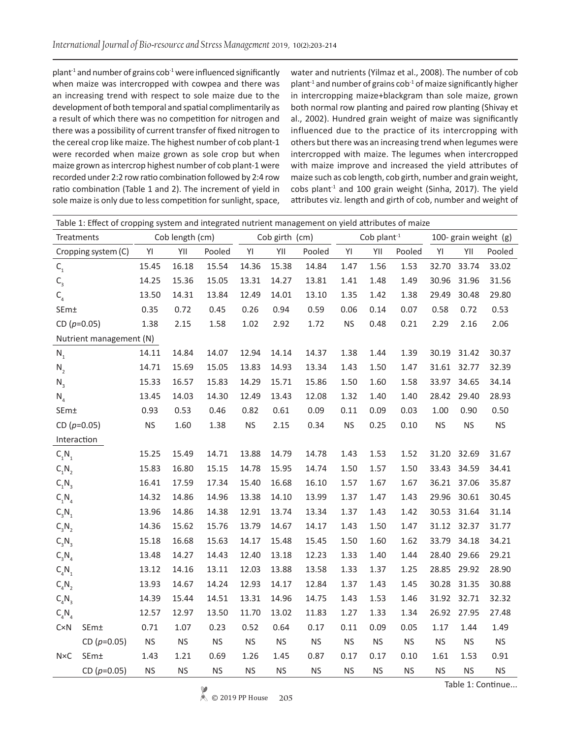plant<sup>-1</sup> and number of grains  $\cosh^4$  were influenced significantly when maize was intercropped with cowpea and there was an increasing trend with respect to sole maize due to the development of both temporal and spatial complimentarily as a result of which there was no competition for nitrogen and there was a possibility of current transfer of fixed nitrogen to the cereal crop like maize. The highest number of cob plant-1 were recorded when maize grown as sole crop but when maize grown as intercrop highest number of cob plant-1 were recorded under 2:2 row ratio combination followed by 2:4 row ratio combination (Table 1 and 2). The increment of yield in sole maize is only due to less competition for sunlight, space,

water and nutrients (Yilmaz et al., 2008). The number of cob plant<sup>-1</sup> and number of grains cob<sup>-1</sup> of maize significantly higher in intercropping maize+blackgram than sole maize, grown both normal row planting and paired row planting (Shivay et al., 2002). Hundred grain weight of maize was significantly influenced due to the practice of its intercropping with others but there was an increasing trend when legumes were intercropped with maize. The legumes when intercropped with maize improve and increased the yield attributes of maize such as cob length, cob girth, number and grain weight,  $cobs$  plant<sup>-1</sup> and 100 grain weight (Sinha, 2017). The yield attributes viz. length and girth of cob, number and weight of

|                         | Table 1: Effect of cropping system and integrated nutrient management on yield attributes of maize |           |                 |           |                      |                |           |           |               |           |           |             |                       |
|-------------------------|----------------------------------------------------------------------------------------------------|-----------|-----------------|-----------|----------------------|----------------|-----------|-----------|---------------|-----------|-----------|-------------|-----------------------|
| Treatments              |                                                                                                    |           | Cob length (cm) |           |                      | Cob girth (cm) |           |           | Cob plant $1$ |           |           |             | 100- grain weight (g) |
|                         | Cropping system (C)                                                                                | YI        | YII             | Pooled    | YI                   | YII            | Pooled    | YI        | YII           | Pooled    | YI        | YII         | Pooled                |
| $\mathsf{C}_\mathsf{1}$ |                                                                                                    | 15.45     | 16.18           | 15.54     | 14.36                | 15.38          | 14.84     | 1.47      | 1.56          | 1.53      | 32.70     | 33.74       | 33.02                 |
| $\mathsf{C}_{_3}$       |                                                                                                    | 14.25     | 15.36           | 15.05     | 13.31                | 14.27          | 13.81     | 1.41      | 1.48          | 1.49      | 30.96     | 31.96       | 31.56                 |
| $C_{4}$                 |                                                                                                    | 13.50     | 14.31           | 13.84     | 12.49                | 14.01          | 13.10     | 1.35      | 1.42          | 1.38      | 29.49     | 30.48       | 29.80                 |
| SEm±                    |                                                                                                    | 0.35      | 0.72            | 0.45      | 0.26                 | 0.94           | 0.59      | 0.06      | 0.14          | 0.07      | 0.58      | 0.72        | 0.53                  |
|                         | CD $(p=0.05)$                                                                                      | 1.38      | 2.15            | 1.58      | 1.02                 | 2.92           | 1.72      | <b>NS</b> | 0.48          | 0.21      | 2.29      | 2.16        | 2.06                  |
|                         | Nutrient management (N)                                                                            |           |                 |           |                      |                |           |           |               |           |           |             |                       |
| $N_1$                   |                                                                                                    | 14.11     | 14.84           | 14.07     | 12.94                | 14.14          | 14.37     | 1.38      | 1.44          | 1.39      | 30.19     | 31.42       | 30.37                 |
| $N_{2}$                 |                                                                                                    | 14.71     | 15.69           | 15.05     | 13.83                | 14.93          | 13.34     | 1.43      | 1.50          | 1.47      | 31.61     | 32.77       | 32.39                 |
| $N_3$                   |                                                                                                    | 15.33     | 16.57           | 15.83     | 14.29                | 15.71          | 15.86     | 1.50      | 1.60          | 1.58      | 33.97     | 34.65       | 34.14                 |
| $N_4$                   |                                                                                                    | 13.45     | 14.03           | 14.30     | 12.49                | 13.43          | 12.08     | 1.32      | 1.40          | 1.40      | 28.42     | 29.40       | 28.93                 |
| SEm±                    |                                                                                                    | 0.93      | 0.53            | 0.46      | 0.82                 | 0.61           | 0.09      | 0.11      | 0.09          | 0.03      | 1.00      | 0.90        | 0.50                  |
|                         | CD $(p=0.05)$                                                                                      | <b>NS</b> | 1.60            | 1.38      | $\mathsf{NS}\xspace$ | 2.15           | 0.34      | <b>NS</b> | 0.25          | 0.10      | <b>NS</b> | <b>NS</b>   | <b>NS</b>             |
| Interaction             |                                                                                                    |           |                 |           |                      |                |           |           |               |           |           |             |                       |
| $C_1N_1$                |                                                                                                    | 15.25     | 15.49           | 14.71     | 13.88                | 14.79          | 14.78     | 1.43      | 1.53          | 1.52      | 31.20     | 32.69       | 31.67                 |
| $C_1N_2$                |                                                                                                    | 15.83     | 16.80           | 15.15     | 14.78                | 15.95          | 14.74     | 1.50      | 1.57          | 1.50      | 33.43     | 34.59       | 34.41                 |
| $C_1N_3$                |                                                                                                    | 16.41     | 17.59           | 17.34     | 15.40                | 16.68          | 16.10     | 1.57      | 1.67          | 1.67      |           | 36.21 37.06 | 35.87                 |
| $C_1N_4$                |                                                                                                    | 14.32     | 14.86           | 14.96     | 13.38                | 14.10          | 13.99     | 1.37      | 1.47          | 1.43      | 29.96     | 30.61       | 30.45                 |
| $C_3N_1$                |                                                                                                    | 13.96     | 14.86           | 14.38     | 12.91                | 13.74          | 13.34     | 1.37      | 1.43          | 1.42      | 30.53     | 31.64       | 31.14                 |
| $C_3N_2$                |                                                                                                    | 14.36     | 15.62           | 15.76     | 13.79                | 14.67          | 14.17     | 1.43      | 1.50          | 1.47      |           | 31.12 32.37 | 31.77                 |
| $C_3N_3$                |                                                                                                    | 15.18     | 16.68           | 15.63     | 14.17                | 15.48          | 15.45     | 1.50      | 1.60          | 1.62      | 33.79     | 34.18       | 34.21                 |
| $C_3N_4$                |                                                                                                    | 13.48     | 14.27           | 14.43     | 12.40                | 13.18          | 12.23     | 1.33      | 1.40          | 1.44      | 28.40     | 29.66       | 29.21                 |
| $C_4N_1$                |                                                                                                    | 13.12     | 14.16           | 13.11     | 12.03                | 13.88          | 13.58     | 1.33      | 1.37          | 1.25      | 28.85     | 29.92       | 28.90                 |
| $C_4N_2$                |                                                                                                    | 13.93     | 14.67           | 14.24     | 12.93                | 14.17          | 12.84     | 1.37      | 1.43          | 1.45      | 30.28     | 31.35       | 30.88                 |
| $C_4N_3$                |                                                                                                    | 14.39     | 15.44           | 14.51     | 13.31                | 14.96          | 14.75     | 1.43      | 1.53          | 1.46      |           | 31.92 32.71 | 32.32                 |
| $C_4N_4$                |                                                                                                    | 12.57     | 12.97           | 13.50     | 11.70                | 13.02          | 11.83     | 1.27      | 1.33          | 1.34      | 26.92     | 27.95       | 27.48                 |
| CxN                     | SEm±                                                                                               | 0.71      | 1.07            | 0.23      | 0.52                 | 0.64           | 0.17      | 0.11      | 0.09          | 0.05      | 1.17      | 1.44        | 1.49                  |
|                         | CD $(p=0.05)$                                                                                      | <b>NS</b> | <b>NS</b>       | <b>NS</b> | <b>NS</b>            | <b>NS</b>      | <b>NS</b> | <b>NS</b> | <b>NS</b>     | <b>NS</b> | <b>NS</b> | <b>NS</b>   | $\mathsf{NS}\xspace$  |
| $N\times C$             | SEm±                                                                                               | 1.43      | 1.21            | 0.69      | 1.26                 | 1.45           | 0.87      | 0.17      | 0.17          | 0.10      | 1.61      | 1.53        | 0.91                  |
|                         | CD ( $p=0.05$ )                                                                                    | <b>NS</b> | <b>NS</b>       | <b>NS</b> | <b>NS</b>            | <b>NS</b>      | <b>NS</b> | <b>NS</b> | <b>NS</b>     | <b>NS</b> | <b>NS</b> | <b>NS</b>   | <b>NS</b>             |

Table 1: Continue...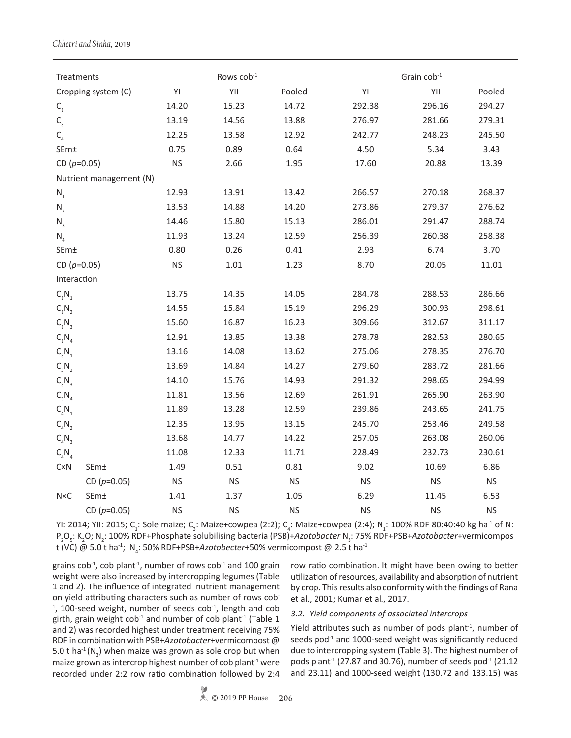| Treatments              |                         |                      | Rows cob <sup>-1</sup> |           |           | Grain cob-1 |                      |
|-------------------------|-------------------------|----------------------|------------------------|-----------|-----------|-------------|----------------------|
|                         | Cropping system (C)     | YI                   | YII                    | Pooled    | YI        | YII         | Pooled               |
| $\mathsf{C}_\mathsf{1}$ |                         | 14.20                | 15.23                  | 14.72     | 292.38    | 296.16      | 294.27               |
| $\mathsf{C}_{_3}$       |                         | 13.19                | 14.56                  | 13.88     | 276.97    | 281.66      | 279.31               |
| $C_{4}$                 |                         | 12.25                | 13.58                  | 12.92     | 242.77    | 248.23      | 245.50               |
| SEm±                    |                         | 0.75                 | 0.89                   | 0.64      | 4.50      | 5.34        | 3.43                 |
| CD $(p=0.05)$           |                         | <b>NS</b>            | 2.66                   | 1.95      | 17.60     | 20.88       | 13.39                |
|                         | Nutrient management (N) |                      |                        |           |           |             |                      |
| $\mathsf{N}_\mathsf{1}$ |                         | 12.93                | 13.91                  | 13.42     | 266.57    | 270.18      | 268.37               |
| $N_{2}$                 |                         | 13.53                | 14.88                  | 14.20     | 273.86    | 279.37      | 276.62               |
| $N_3$                   |                         | 14.46                | 15.80                  | 15.13     | 286.01    | 291.47      | 288.74               |
| $N_4$                   |                         | 11.93                | 13.24                  | 12.59     | 256.39    | 260.38      | 258.38               |
| SEm±                    |                         | 0.80                 | 0.26                   | 0.41      | 2.93      | 6.74        | 3.70                 |
| CD $(p=0.05)$           |                         | $\mathsf{NS}\xspace$ | $1.01\,$               | 1.23      | 8.70      | 20.05       | 11.01                |
| Interaction             |                         |                      |                        |           |           |             |                      |
| $C_1N_1$                |                         | 13.75                | 14.35                  | 14.05     | 284.78    | 288.53      | 286.66               |
| $C_1N_2$                |                         | 14.55                | 15.84                  | 15.19     | 296.29    | 300.93      | 298.61               |
| $C_1N_3$                |                         | 15.60                | 16.87                  | 16.23     | 309.66    | 312.67      | 311.17               |
| $C_1N_4$                |                         | 12.91                | 13.85                  | 13.38     | 278.78    | 282.53      | 280.65               |
| $C_3N_1$                |                         | 13.16                | 14.08                  | 13.62     | 275.06    | 278.35      | 276.70               |
| $C_3N_2$                |                         | 13.69                | 14.84                  | 14.27     | 279.60    | 283.72      | 281.66               |
| $C_3N_3$                |                         | 14.10                | 15.76                  | 14.93     | 291.32    | 298.65      | 294.99               |
| $C_3N_4$                |                         | 11.81                | 13.56                  | 12.69     | 261.91    | 265.90      | 263.90               |
| $C_4N_1$                |                         | 11.89                | 13.28                  | 12.59     | 239.86    | 243.65      | 241.75               |
| $C_4N_2$                |                         | 12.35                | 13.95                  | 13.15     | 245.70    | 253.46      | 249.58               |
| $C_4N_3$                |                         | 13.68                | 14.77                  | 14.22     | 257.05    | 263.08      | 260.06               |
| $C_4N_4$                |                         | 11.08                | 12.33                  | 11.71     | 228.49    | 232.73      | 230.61               |
| CxN                     | SEm±                    | 1.49                 | 0.51                   | 0.81      | 9.02      | 10.69       | 6.86                 |
|                         | CD $(p=0.05)$           | $\mathsf{NS}\xspace$ | $\mathsf{NS}\xspace$   | <b>NS</b> | <b>NS</b> | <b>NS</b>   | <b>NS</b>            |
| $N\times C$             | SEm±                    | 1.41                 | 1.37                   | 1.05      | 6.29      | 11.45       | 6.53                 |
|                         | CD $(p=0.05)$           | $\mathsf{NS}\xspace$ | $\mathsf{NS}\xspace$   | <b>NS</b> | <b>NS</b> | <b>NS</b>   | $\mathsf{NS}\xspace$ |

YI: 2014; YII: 2015; C<sub>1</sub>: Sole maize; C<sub>3</sub>: Maize+cowpea (2:2); C<sub>4</sub>: Maize+cowpea (2:4); N<sub>1</sub>: 100% RDF 80:40:40 kg ha<sup>-1</sup> of N: P<sub>2</sub>O<sub>5</sub>: K<sub>2</sub>O; N<sub>2</sub>: 100% RDF+Phosphate solubilising bacteria (PSB)+*Azotobacter* N<sub>3</sub>: 75% RDF+PSB+*Azotobacter*+vermicompos t (VC) @ 5.0 t ha<sup>-1</sup>; N<sub>4</sub>: 50% RDF+PSB+*Azotobecter*+50% vermicompost @ 2.5 t ha<sup>-1</sup>

grains  $\cosh^4$ ,  $\cosh$  plant<sup>-1</sup>, number of rows  $\cosh^4$  and 100 grain weight were also increased by intercropping legumes (Table 1 and 2). The influence of integrated nutrient management on yield attributing characters such as number of rows cob-<sup>1</sup>, 100-seed weight, number of seeds cob<sup>-1</sup>, length and cob girth, grain weight  $\cosh^4$  and number of cob plant<sup>-1</sup> (Table 1 and 2) was recorded highest under treatment receiving 75% RDF in combination with PSB+*Azotobacter*+vermicompost @ 5.0 t ha<sup>-1</sup> (N<sub>3</sub>) when maize was grown as sole crop but when maize grown as intercrop highest number of cob plant $1$  were recorded under 2:2 row ratio combination followed by 2:4

row ratio combination. It might have been owing to better utilization of resources, availability and absorption of nutrient by crop. This results also conformity with the findings of Rana et al., 2001; Kumar et al., 2017.

#### *3.2. Yield components of associated intercrops*

Yield attributes such as number of pods plant $-1$ , number of seeds pod $^{-1}$  and 1000-seed weight was significantly reduced due to intercropping system (Table 3). The highest number of pods plant<sup>-1</sup> (27.87 and 30.76), number of seeds pod<sup>-1</sup> (21.12 and 23.11) and 1000-seed weight (130.72 and 133.15) was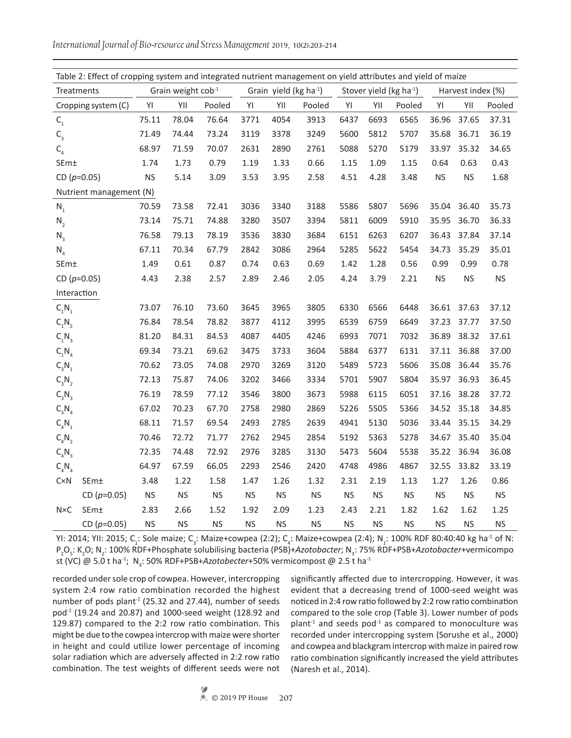| Table 2: Effect of cropping system and integrated nutrient management on yield attributes and yield of maize |                         |           |                    |           |           |                                    |           |           |           |                                     |           |                   |           |
|--------------------------------------------------------------------------------------------------------------|-------------------------|-----------|--------------------|-----------|-----------|------------------------------------|-----------|-----------|-----------|-------------------------------------|-----------|-------------------|-----------|
| Treatments                                                                                                   |                         |           | Grain weight cob-1 |           |           | Grain yield (kg ha <sup>-1</sup> ) |           |           |           | Stover yield (kg ha <sup>-1</sup> ) |           | Harvest index (%) |           |
|                                                                                                              | Cropping system (C)     | YI        | YII                | Pooled    | YI        | YII                                | Pooled    | YI        | YII       | Pooled                              | YI        | YII               | Pooled    |
| $\mathsf{C}_\mathsf{1}$                                                                                      |                         | 75.11     | 78.04              | 76.64     | 3771      | 4054                               | 3913      | 6437      | 6693      | 6565                                | 36.96     | 37.65             | 37.31     |
| $\mathsf{C}_\mathsf{3}$                                                                                      |                         | 71.49     | 74.44              | 73.24     | 3119      | 3378                               | 3249      | 5600      | 5812      | 5707                                | 35.68     | 36.71             | 36.19     |
| $C_{4}$                                                                                                      |                         | 68.97     | 71.59              | 70.07     | 2631      | 2890                               | 2761      | 5088      | 5270      | 5179                                | 33.97     | 35.32             | 34.65     |
| SEm±                                                                                                         |                         | 1.74      | 1.73               | 0.79      | 1.19      | 1.33                               | 0.66      | 1.15      | 1.09      | 1.15                                | 0.64      | 0.63              | 0.43      |
| CD $(p=0.05)$                                                                                                |                         | <b>NS</b> | 5.14               | 3.09      | 3.53      | 3.95                               | 2.58      | 4.51      | 4.28      | 3.48                                | <b>NS</b> | <b>NS</b>         | 1.68      |
|                                                                                                              | Nutrient management (N) |           |                    |           |           |                                    |           |           |           |                                     |           |                   |           |
| $N_{1}$                                                                                                      |                         | 70.59     | 73.58              | 72.41     | 3036      | 3340                               | 3188      | 5586      | 5807      | 5696                                | 35.04     | 36.40             | 35.73     |
| $N_2$                                                                                                        |                         | 73.14     | 75.71              | 74.88     | 3280      | 3507                               | 3394      | 5811      | 6009      | 5910                                | 35.95     | 36.70             | 36.33     |
| $N_3$                                                                                                        |                         | 76.58     | 79.13              | 78.19     | 3536      | 3830                               | 3684      | 6151      | 6263      | 6207                                | 36.43     | 37.84             | 37.14     |
| $N_{4}$                                                                                                      |                         | 67.11     | 70.34              | 67.79     | 2842      | 3086                               | 2964      | 5285      | 5622      | 5454                                | 34.73     | 35.29             | 35.01     |
| SEm±                                                                                                         |                         | 1.49      | 0.61               | 0.87      | 0.74      | 0.63                               | 0.69      | 1.42      | 1.28      | 0.56                                | 0.99      | 0.99              | 0.78      |
| CD $(p=0.05)$                                                                                                |                         | 4.43      | 2.38               | 2.57      | 2.89      | 2.46                               | 2.05      | 4.24      | 3.79      | 2.21                                | <b>NS</b> | <b>NS</b>         | <b>NS</b> |
| Interaction                                                                                                  |                         |           |                    |           |           |                                    |           |           |           |                                     |           |                   |           |
| $C_1N_1$                                                                                                     |                         | 73.07     | 76.10              | 73.60     | 3645      | 3965                               | 3805      | 6330      | 6566      | 6448                                | 36.61     | 37.63             | 37.12     |
| $C_1N_2$                                                                                                     |                         | 76.84     | 78.54              | 78.82     | 3877      | 4112                               | 3995      | 6539      | 6759      | 6649                                | 37.23     | 37.77             | 37.50     |
| $C_1N_3$                                                                                                     |                         | 81.20     | 84.31              | 84.53     | 4087      | 4405                               | 4246      | 6993      | 7071      | 7032                                | 36.89     | 38.32             | 37.61     |
| $C_1N_4$                                                                                                     |                         | 69.34     | 73.21              | 69.62     | 3475      | 3733                               | 3604      | 5884      | 6377      | 6131                                | 37.11     | 36.88             | 37.00     |
| $C_3N_1$                                                                                                     |                         | 70.62     | 73.05              | 74.08     | 2970      | 3269                               | 3120      | 5489      | 5723      | 5606                                | 35.08     | 36.44             | 35.76     |
| $C_3N_2$                                                                                                     |                         | 72.13     | 75.87              | 74.06     | 3202      | 3466                               | 3334      | 5701      | 5907      | 5804                                | 35.97     | 36.93             | 36.45     |
| $C_3N_3$                                                                                                     |                         | 76.19     | 78.59              | 77.12     | 3546      | 3800                               | 3673      | 5988      | 6115      | 6051                                | 37.16     | 38.28             | 37.72     |
| $C_3N_4$                                                                                                     |                         | 67.02     | 70.23              | 67.70     | 2758      | 2980                               | 2869      | 5226      | 5505      | 5366                                | 34.52     | 35.18             | 34.85     |
| $C_4N_1$                                                                                                     |                         | 68.11     | 71.57              | 69.54     | 2493      | 2785                               | 2639      | 4941      | 5130      | 5036                                | 33.44     | 35.15             | 34.29     |
| $C_4N_2$                                                                                                     |                         | 70.46     | 72.72              | 71.77     | 2762      | 2945                               | 2854      | 5192      | 5363      | 5278                                | 34.67     | 35.40             | 35.04     |
| $C_4N_3$                                                                                                     |                         | 72.35     | 74.48              | 72.92     | 2976      | 3285                               | 3130      | 5473      | 5604      | 5538                                | 35.22     | 36.94             | 36.08     |
| $C_4N_4$                                                                                                     |                         | 64.97     | 67.59              | 66.05     | 2293      | 2546                               | 2420      | 4748      | 4986      | 4867                                | 32.55     | 33.82             | 33.19     |
| CxN                                                                                                          | SEm±                    | 3.48      | 1.22               | 1.58      | 1.47      | 1.26                               | 1.32      | 2.31      | 2.19      | 1.13                                | 1.27      | 1.26              | 0.86      |
|                                                                                                              | CD ( $p=0.05$ )         | <b>NS</b> | <b>NS</b>          | <b>NS</b> | <b>NS</b> | <b>NS</b>                          | <b>NS</b> | <b>NS</b> | <b>NS</b> | <b>NS</b>                           | <b>NS</b> | <b>NS</b>         | <b>NS</b> |
| $N\times C$                                                                                                  | SEm±                    | 2.83      | 2.66               | 1.52      | 1.92      | 2.09                               | 1.23      | 2.43      | 2.21      | 1.82                                | 1.62      | 1.62              | 1.25      |
|                                                                                                              | CD ( $p=0.05$ )         | <b>NS</b> | <b>NS</b>          | <b>NS</b> | <b>NS</b> | <b>NS</b>                          | <b>NS</b> | <b>NS</b> | <b>NS</b> | <b>NS</b>                           | <b>NS</b> | <b>NS</b>         | <b>NS</b> |

YI: 2014; YII: 2015; C<sub>1</sub>: Sole maize; C<sub>3</sub>: Maize+cowpea (2:2); C<sub>4</sub>: Maize+cowpea (2:4); N<sub>1</sub>: 100% RDF 80:40:40 kg ha<sup>-1</sup> of N: P<sub>2</sub>O<sub>5</sub>: K<sub>2</sub>O; N<sub>2</sub>: 100% RDF+Phosphate solubilising bacteria (PSB)+*Azotobacter*; N<sub>3</sub>: 75% RDF+PSB+*Azotobacter*+vermicompo st (VC) @ 5.0 t ha<sup>-1</sup>; N<sub>4</sub>: 50% RDF+PSB+*Azotobecter*+50% vermicompost @ 2.5 t ha<sup>-1</sup>

recorded under sole crop of cowpea. However, intercropping system 2:4 row ratio combination recorded the highest number of pods plant<sup>-1</sup> (25.32 and 27.44), number of seeds pod-1 (19.24 and 20.87) and 1000-seed weight (128.92 and 129.87) compared to the 2:2 row ratio combination. This might be due to the cowpea intercrop with maize were shorter in height and could utilize lower percentage of incoming solar radiation which are adversely affected in 2:2 row ratio combination. The test weights of different seeds were not

significantly affected due to intercropping. However, it was evident that a decreasing trend of 1000-seed weight was noticed in 2:4 row ratio followed by 2:2 row ratio combination compared to the sole crop (Table 3). Lower number of pods  $plant^{-1}$  and seeds pod $^{-1}$  as compared to monoculture was recorded under intercropping system (Sorushe et al., 2000) and cowpea and blackgram intercrop with maize in paired row ratio combination significantly increased the yield attributes (Naresh et al., 2014).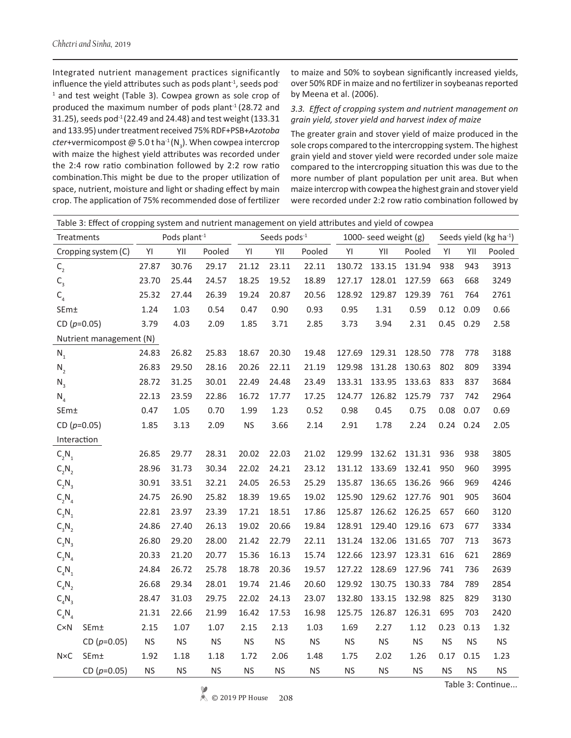Integrated nutrient management practices significantly influence the yield attributes such as pods plant $<sup>1</sup>$ , seeds pod $<sup>-</sup>$ </sup></sup> <sup>1</sup> and test weight (Table 3). Cowpea grown as sole crop of produced the maximum number of pods plant $1$  (28.72 and 31.25), seeds pod<sup>-1</sup> (22.49 and 24.48) and test weight (133.31 and 133.95) under treatment received 75% RDF+PSB+*Azotoba*  $c$ ter+vermicompost @ 5.0 t ha<sup>-1</sup> (N<sub>3</sub>). When cowpea intercrop with maize the highest yield attributes was recorded under the 2:4 row ratio combination followed by 2:2 row ratio combination.This might be due to the proper utilization of space, nutrient, moisture and light or shading effect by main crop. The application of 75% recommended dose of fertilizer

to maize and 50% to soybean significantly increased yields, over 50% RDF in maize and no fertilizer in soybeanas reported by Meena et al. (2006).

### *3.3. Effect of cropping system and nutrient management on grain yield, stover yield and harvest index of maize*

The greater grain and stover yield of maize produced in the sole crops compared to the intercropping system. The highest grain yield and stover yield were recorded under sole maize compared to the intercropping situation this was due to the more number of plant population per unit area. But when maize intercrop with cowpea the highest grain and stover yield were recorded under 2:2 row ratio combination followed by

|                         | Table 3: Effect of cropping system and nutrient management on yield attributes and yield of cowpea |           |                          |           |           |                          |           |           |                       |           |           |           |                                    |
|-------------------------|----------------------------------------------------------------------------------------------------|-----------|--------------------------|-----------|-----------|--------------------------|-----------|-----------|-----------------------|-----------|-----------|-----------|------------------------------------|
| Treatments              |                                                                                                    |           | Pods plant <sup>-1</sup> |           |           | Seeds pods <sup>-1</sup> |           |           | 1000- seed weight (g) |           |           |           | Seeds yield (kg ha <sup>-1</sup> ) |
|                         | Cropping system (C)                                                                                | YI        | YII                      | Pooled    | YI        | YII                      | Pooled    | YI        | YII                   | Pooled    | YI        | YII       | Pooled                             |
| $\mathsf{C}_\mathsf{2}$ |                                                                                                    | 27.87     | 30.76                    | 29.17     | 21.12     | 23.11                    | 22.11     | 130.72    | 133.15                | 131.94    | 938       | 943       | 3913                               |
| $\mathsf{C}_{_3}$       |                                                                                                    | 23.70     | 25.44                    | 24.57     | 18.25     | 19.52                    | 18.89     | 127.17    | 128.01                | 127.59    | 663       | 668       | 3249                               |
| $C_{4}$                 |                                                                                                    | 25.32     | 27.44                    | 26.39     | 19.24     | 20.87                    | 20.56     | 128.92    | 129.87                | 129.39    | 761       | 764       | 2761                               |
| SEm±                    |                                                                                                    | 1.24      | 1.03                     | 0.54      | 0.47      | 0.90                     | 0.93      | 0.95      | 1.31                  | 0.59      | 0.12      | 0.09      | 0.66                               |
| CD $(p=0.05)$           |                                                                                                    | 3.79      | 4.03                     | 2.09      | 1.85      | 3.71                     | 2.85      | 3.73      | 3.94                  | 2.31      | 0.45      | 0.29      | 2.58                               |
|                         | Nutrient management (N)                                                                            |           |                          |           |           |                          |           |           |                       |           |           |           |                                    |
| $N_1$                   |                                                                                                    | 24.83     | 26.82                    | 25.83     | 18.67     | 20.30                    | 19.48     | 127.69    | 129.31                | 128.50    | 778       | 778       | 3188                               |
| $N_{2}$                 |                                                                                                    | 26.83     | 29.50                    | 28.16     | 20.26     | 22.11                    | 21.19     | 129.98    | 131.28                | 130.63    | 802       | 809       | 3394                               |
| $N_3$                   |                                                                                                    | 28.72     | 31.25                    | 30.01     | 22.49     | 24.48                    | 23.49     | 133.31    | 133.95                | 133.63    | 833       | 837       | 3684                               |
| $N_4$                   |                                                                                                    | 22.13     | 23.59                    | 22.86     | 16.72     | 17.77                    | 17.25     | 124.77    | 126.82                | 125.79    | 737       | 742       | 2964                               |
| SEm±                    |                                                                                                    | 0.47      | 1.05                     | 0.70      | 1.99      | 1.23                     | 0.52      | 0.98      | 0.45                  | 0.75      | 0.08      | 0.07      | 0.69                               |
| CD $(p=0.05)$           |                                                                                                    | 1.85      | 3.13                     | 2.09      | <b>NS</b> | 3.66                     | 2.14      | 2.91      | 1.78                  | 2.24      | 0.24      | 0.24      | 2.05                               |
| Interaction             |                                                                                                    |           |                          |           |           |                          |           |           |                       |           |           |           |                                    |
| $C_2N_1$                |                                                                                                    | 26.85     | 29.77                    | 28.31     | 20.02     | 22.03                    | 21.02     | 129.99    | 132.62                | 131.31    | 936       | 938       | 3805                               |
| $C_2N_2$                |                                                                                                    | 28.96     | 31.73                    | 30.34     | 22.02     | 24.21                    | 23.12     | 131.12    | 133.69                | 132.41    | 950       | 960       | 3995                               |
| $C_2N_3$                |                                                                                                    | 30.91     | 33.51                    | 32.21     | 24.05     | 26.53                    | 25.29     | 135.87    | 136.65                | 136.26    | 966       | 969       | 4246                               |
| $C_2N_4$                |                                                                                                    | 24.75     | 26.90                    | 25.82     | 18.39     | 19.65                    | 19.02     | 125.90    | 129.62                | 127.76    | 901       | 905       | 3604                               |
| $C_3N_1$                |                                                                                                    | 22.81     | 23.97                    | 23.39     | 17.21     | 18.51                    | 17.86     | 125.87    | 126.62                | 126.25    | 657       | 660       | 3120                               |
| $C_3N_2$                |                                                                                                    | 24.86     | 27.40                    | 26.13     | 19.02     | 20.66                    | 19.84     | 128.91    | 129.40                | 129.16    | 673       | 677       | 3334                               |
| $C_3N_3$                |                                                                                                    | 26.80     | 29.20                    | 28.00     | 21.42     | 22.79                    | 22.11     | 131.24    | 132.06                | 131.65    | 707       | 713       | 3673                               |
| $C_3N_4$                |                                                                                                    | 20.33     | 21.20                    | 20.77     | 15.36     | 16.13                    | 15.74     | 122.66    | 123.97                | 123.31    | 616       | 621       | 2869                               |
| $C_4N_1$                |                                                                                                    | 24.84     | 26.72                    | 25.78     | 18.78     | 20.36                    | 19.57     | 127.22    | 128.69                | 127.96    | 741       | 736       | 2639                               |
| $C_4N_2$                |                                                                                                    | 26.68     | 29.34                    | 28.01     | 19.74     | 21.46                    | 20.60     | 129.92    | 130.75                | 130.33    | 784       | 789       | 2854                               |
| $C_4N_3$                |                                                                                                    | 28.47     | 31.03                    | 29.75     | 22.02     | 24.13                    | 23.07     | 132.80    | 133.15                | 132.98    | 825       | 829       | 3130                               |
| $C_4N_4$                |                                                                                                    | 21.31     | 22.66                    | 21.99     | 16.42     | 17.53                    | 16.98     | 125.75    | 126.87                | 126.31    | 695       | 703       | 2420                               |
| CxN                     | SEm±                                                                                               | 2.15      | 1.07                     | 1.07      | 2.15      | 2.13                     | 1.03      | 1.69      | 2.27                  | 1.12      | 0.23      | 0.13      | 1.32                               |
|                         | CD $(p=0.05)$                                                                                      | <b>NS</b> | $\mathsf{NS}\xspace$     | <b>NS</b> | <b>NS</b> | <b>NS</b>                | <b>NS</b> | <b>NS</b> | <b>NS</b>             | <b>NS</b> | <b>NS</b> | <b>NS</b> | <b>NS</b>                          |
| $N\times C$             | SEm±                                                                                               | 1.92      | 1.18                     | 1.18      | 1.72      | 2.06                     | 1.48      | 1.75      | 2.02                  | 1.26      | 0.17      | 0.15      | 1.23                               |
|                         | CD ( $p=0.05$ )                                                                                    | <b>NS</b> | <b>NS</b>                | <b>NS</b> | <b>NS</b> | <b>NS</b>                | <b>NS</b> | <b>NS</b> | <b>NS</b>             | NS        | <b>NS</b> | <b>NS</b> | <b>NS</b>                          |

Table 3: Continue...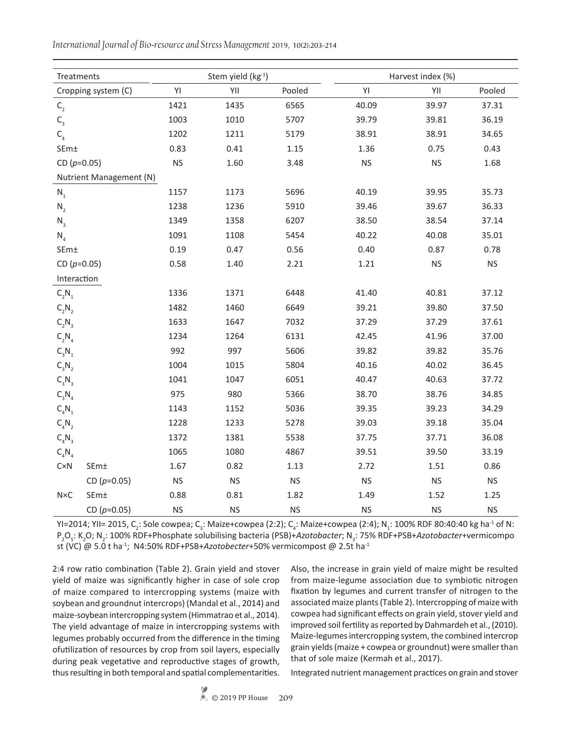Treatments  $S$  Stem yield  $(kg<sup>-1</sup>)$  Harvest index (%) Cropping system (C) YI YII Pooled YI YII Pooled  $C_2$  1421 1435 6565 40.09 39.97 37.31  $C_3$  1003 1010 5707 39.79 39.81 36.19  $C_4$  1202 1211 5179 38.91 38.91 34.65 SEm± 0.83 0.41 1.15 1.36 0.75 0.43 CD (*p*=0.05) NS 1.60 3.48 NS NS 1.68 Nutrient Management (N)  $N_1$  1157 1173 5696 40.19 39.95 35.73 N<sub>2</sub> 1238 1236 5910 39.46 39.67 36.33 N<sub>3</sub> 1349 1358 6207 38.50 38.54 37.14  $N_4$  1091 1108 5454 40.22 40.08 35.01 SEm± 0.19 0.47 0.56 0.40 0.87 0.78 CD (*p*=0.05) 0.58 1.40 2.21 1.21 NS NS Interaction  $C_2N_1$ N<sub>1</sub> 1336 1371 6448 41.40 40.81 37.12  $C_2N_2$ N<sub>2</sub> 1482 1460 6649 39.21 39.80 37.50  $C_2N_3$ N<sub>3</sub> 1633 1647 7032 37.29 37.29 37.61  $C_2N_A$  $N_4$  1234 1264 6131 42.45 41.96 37.00  $C_3N_1$  $N_1$  992 997 5606 39.82 39.82 39.82 35.76  $C_3N_3$ N<sub>2</sub> 1004 1015 5804 40.16 40.02 36.45  $C_3N_3$ N<sub>3</sub> 1041 1047 6051 40.47 40.63 37.72  $C_3N_4$  $N_4$  975 980 5366 38.70 38.76 34.85  $C_A N_1$ N<sub>1</sub> 1143 1152 5036 39.35 39.23 34.29  $C_aN_2$ N<sub>2</sub> 1228 1233 5278 39.03 39.18 35.04  $C_A N_3$ N<sub>3</sub> 1372 1381 5538 37.75 37.71 36.08  $C_{\alpha}N_{\alpha}$  $N_4$  1065 1080 4867 39.51 39.50 33.19 C×N SEm± 1.67 0.82 1.13 2.72 1.51 0.86 CD (*p*=0.05) NS NS NS NS NS NS NS N×C SEm± 0.88 0.81 1.82 1.49 1.52 1.25 CD (*p*=0.05) NS NS NS NS NS NS

*International Journal of Bio-resource and Stress Management* 2019, 10(2):203-214

YI=2014; YII= 2015, C<sub>2</sub>: Sole cowpea; C<sub>3</sub>: Maize+cowpea (2:2); C<sub>4</sub>: Maize+cowpea (2:4); N<sub>1</sub>: 100% RDF 80:40:40 kg ha<sup>-1</sup> of N: P<sub>2</sub>O<sub>5</sub>: K<sub>2</sub>O; N<sub>2</sub>: 100% RDF+Phosphate solubilising bacteria (PSB)+*Azotobacter*; N<sub>3</sub>: 75% RDF+PSB+*Azotobacter*+vermicompo st (VC) @ 5.0 t ha-1; N4:50% RDF+PSB+*Azotobecter*+50% vermicompost @ 2.5t ha-1

2:4 row ratio combination (Table 2). Grain yield and stover yield of maize was significantly higher in case of sole crop of maize compared to intercropping systems (maize with soybean and groundnut intercrops) (Mandal et al., 2014) and maize-soybean intercropping system (Himmatrao et al., 2014). The yield advantage of maize in intercropping systems with legumes probably occurred from the difference in the timing ofutilization of resources by crop from soil layers, especially during peak vegetative and reproductive stages of growth, thus resulting in both temporal and spatial complementarities.

Also, the increase in grain yield of maize might be resulted from maize-legume association due to symbiotic nitrogen fixation by legumes and current transfer of nitrogen to the associated maize plants (Table 2). Intercropping of maize with cowpea had significant effects on grain yield, stover yield and improved soil fertility as reported by Dahmardeh et al., (2010). Maize-legumes intercropping system, the combined intercrop grain yields (maize + cowpea or groundnut) were smaller than that of sole maize (Kermah et al., 2017).

Integrated nutrient management practices on grain and stover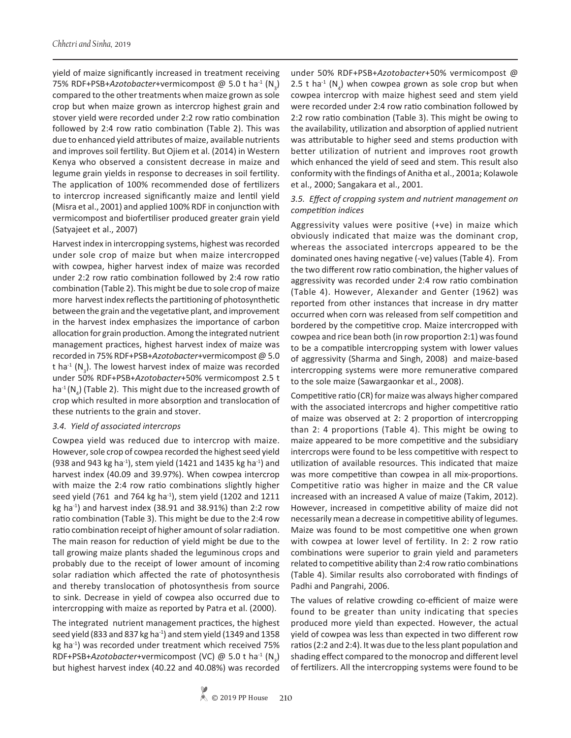yield of maize significantly increased in treatment receiving 75% RDF+PSB+*Azotobacter*+vermicompost @ 5.0 t ha<sup>-1</sup> (N<sub>3</sub>) compared to the other treatments when maize grown as sole crop but when maize grown as intercrop highest grain and stover yield were recorded under 2:2 row ratio combination followed by 2:4 row ratio combination (Table 2). This was due to enhanced yield attributes of maize, available nutrients and improves soil fertility. But Ojiem et al. (2014) in Western Kenya who observed a consistent decrease in maize and legume grain yields in response to decreases in soil fertility. The application of 100% recommended dose of fertilizers to intercrop increased significantly maize and lentil yield (Misra et al., 2001) and applied 100% RDF in conjunction with vermicompost and biofertiliser produced greater grain yield (Satyajeet et al., 2007)

Harvest index in intercropping systems, highest was recorded under sole crop of maize but when maize intercropped with cowpea, higher harvest index of maize was recorded under 2:2 row ratio combination followed by 2:4 row ratio combination (Table 2). This might be due to sole crop of maize more harvest index reflects the partitioning of photosynthetic between the grain and the vegetative plant, and improvement in the harvest index emphasizes the importance of carbon allocation for grain production. Among the integrated nutrient management practices, highest harvest index of maize was recorded in 75% RDF+PSB+*Azotobacter*+vermicompost @ 5.0 t ha<sup>-1</sup> (N<sub>3</sub>). The lowest harvest index of maize was recorded under 50% RDF+PSB+*Azotobacter*+50% vermicompost 2.5 t ha<sup>-1</sup>(N<sub>4</sub>) (Table 2). This might due to the increased growth of crop which resulted in more absorption and translocation of these nutrients to the grain and stover.

### *3.4. Yield of associated intercrops*

Cowpea yield was reduced due to intercrop with maize. However, sole crop of cowpea recorded the highest seed yield (938 and 943 kg ha<sup>-1</sup>), stem yield (1421 and 1435 kg ha<sup>-1</sup>) and harvest index (40.09 and 39.97%). When cowpea intercrop with maize the 2:4 row ratio combinations slightly higher seed yield (761 and 764 kg ha $^{-1}$ ), stem yield (1202 and 1211 kg ha $^{-1}$ ) and harvest index (38.91 and 38.91%) than 2:2 row ratio combination (Table 3). This might be due to the 2:4 row ratio combination receipt of higher amount of solar radiation. The main reason for reduction of yield might be due to the tall growing maize plants shaded the leguminous crops and probably due to the receipt of lower amount of incoming solar radiation which affected the rate of photosynthesis and thereby translocation of photosynthesis from source to sink. Decrease in yield of cowpea also occurred due to intercropping with maize as reported by Patra et al. (2000).

The integrated nutrient management practices, the highest seed yield (833 and 837 kg ha<sup>-1</sup>) and stem yield (1349 and 1358 kg ha<sup>-1</sup>) was recorded under treatment which received 75% RDF+PSB+*Azotobacter*+vermicompost (VC) @ 5.0 t ha<sup>-1</sup> (N<sub>3</sub>) but highest harvest index (40.22 and 40.08%) was recorded

under 50% RDF+PSB+*Azotobacter*+50% vermicompost @ 2.5 t ha<sup>-1</sup> ( $N_4$ ) when cowpea grown as sole crop but when cowpea intercrop with maize highest seed and stem yield were recorded under 2:4 row ratio combination followed by 2:2 row ratio combination (Table 3). This might be owing to the availability, utilization and absorption of applied nutrient was attributable to higher seed and stems production with better utilization of nutrient and improves root growth which enhanced the yield of seed and stem. This result also conformity with the findings of Anitha et al., 2001a; Kolawole et al., 2000; Sangakara et al., 2001.

### *3.5. Effect of cropping system and nutrient management on competition indices*

Aggressivity values were positive (+ve) in maize which obviously indicated that maize was the dominant crop, whereas the associated intercrops appeared to be the dominated ones having negative (-ve) values (Table 4). From the two different row ratio combination, the higher values of aggressivity was recorded under 2:4 row ratio combination (Table 4). However, Alexander and Genter (1962) was reported from other instances that increase in dry matter occurred when corn was released from self competition and bordered by the competitive crop. Maize intercropped with cowpea and rice bean both (in row proportion 2:1) was found to be a compatible intercropping system with lower values of aggressivity (Sharma and Singh, 2008) and maize-based intercropping systems were more remunerative compared to the sole maize (Sawargaonkar et al., 2008).

Competitive ratio (CR) for maize was always higher compared with the associated intercrops and higher competitive ratio of maize was observed at 2: 2 proportion of intercropping than 2: 4 proportions (Table 4). This might be owing to maize appeared to be more competitive and the subsidiary intercrops were found to be less competitive with respect to utilization of available resources. This indicated that maize was more competitive than cowpea in all mix-proportions. Competitive ratio was higher in maize and the CR value increased with an increased A value of maize (Takim, 2012). However, increased in competitive ability of maize did not necessarily mean a decrease in competitive ability of legumes. Maize was found to be most competitive one when grown with cowpea at lower level of fertility. In 2: 2 row ratio combinations were superior to grain yield and parameters related to competitive ability than 2:4 row ratio combinations (Table 4). Similar results also corroborated with findings of Padhi and Pangrahi, 2006.

The values of relative crowding co-efficient of maize were found to be greater than unity indicating that species produced more yield than expected. However, the actual yield of cowpea was less than expected in two different row ratios (2:2 and 2:4). It was due to the less plant population and shading effect compared to the monocrop and different level of fertilizers. All the intercropping systems were found to be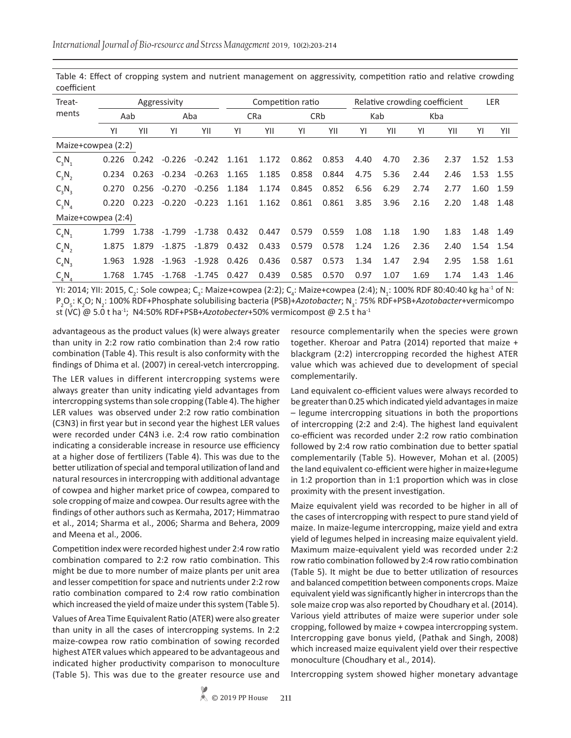| Treat-               |       |       | Aggressivity |          |       |       | Competition ratio |       | Relative crowding coefficient | <b>LER</b> |      |      |      |           |
|----------------------|-------|-------|--------------|----------|-------|-------|-------------------|-------|-------------------------------|------------|------|------|------|-----------|
| ments                | Aab   |       |              | Aba      |       | CRa   |                   | CRb   |                               | Kab        | Kba  |      |      |           |
|                      | YI    | YII   | YI           | YII      | YI    | YII   | YI                | YII   | YI                            | YII        | YI   | YII  | YI   | YII       |
| Maize+cowpea (2:2)   |       |       |              |          |       |       |                   |       |                               |            |      |      |      |           |
| $C_3N_1$             | 0.226 | 0.242 | $-0.226$     | $-0.242$ | 1.161 | 1.172 | 0.862             | 0.853 | 4.40                          | 4.70       | 2.36 | 2.37 |      | 1.52 1.53 |
| $C_{3}N_{2}$         | 0.234 | 0.263 | $-0.234$     | $-0.263$ | 1.165 | 1.185 | 0.858             | 0.844 | 4.75                          | 5.36       | 2.44 | 2.46 |      | 1.53 1.55 |
| $C_3N_3$             | 0.270 | 0.256 | $-0.270$     | $-0.256$ | 1.184 | 1.174 | 0.845             | 0.852 | 6.56                          | 6.29       | 2.74 | 2.77 | 1.60 | 1.59      |
| $C_{3}N_{4}$         | 0.220 | 0.223 | $-0.220$     | $-0.223$ | 1.161 | 1.162 | 0.861             | 0.861 | 3.85                          | 3.96       | 2.16 | 2.20 | 1.48 | 1.48      |
| Maize+cowpea (2:4)   |       |       |              |          |       |       |                   |       |                               |            |      |      |      |           |
| $C_A N$              | 1.799 | 1.738 | $-1.799$     | $-1.738$ | 0.432 | 0.447 | 0.579             | 0.559 | 1.08                          | 1.18       | 1.90 | 1.83 | 1.48 | 1.49      |
| $C_aN_a$             | 1.875 | 1.879 | $-1.875$     | $-1.879$ | 0.432 | 0.433 | 0.579             | 0.578 | 1.24                          | 1.26       | 2.36 | 2.40 |      | 1.54 1.54 |
| $C_{\rm A}N_{\rm A}$ | 1.963 | 1.928 | -1.963       | $-1.928$ | 0.426 | 0.436 | 0.587             | 0.573 | 1.34                          | 1.47       | 2.94 | 2.95 | 1.58 | 1.61      |
| $C_4N_4$             | 1.768 | 1.745 | $-1.768$     | -1.745   | 0.427 | 0.439 | 0.585             | 0.570 | 0.97                          | 1.07       | 1.69 | 1.74 | 1.43 | 1.46      |

Table 4: Effect of cropping system and nutrient management on aggressivity, competition ratio and relative crowding coefficient

YI: 2014; YII: 2015, C<sub>2</sub>: Sole cowpea; C<sub>3</sub>: Maize+cowpea (2:2); C<sub>4</sub>: Maize+cowpea (2:4); N<sub>1</sub>: 100% RDF 80:40:40 kg ha<sup>-1</sup> of N: P<sub>2</sub>O<sub>5</sub>: K<sub>2</sub>O; N<sub>2</sub>: 100% RDF+Phosphate solubilising bacteria (PSB)+*Azotobacter*; N<sub>3</sub>: 75% RDF+PSB+*Azotobacter*+vermicompo st (VC) @ 5.0 t ha-1; N4:50% RDF+PSB+*Azotobecter*+50% vermicompost @ 2.5 t ha-1

advantageous as the product values (k) were always greater than unity in 2:2 row ratio combination than 2:4 row ratio combination (Table 4). This result is also conformity with the findings of Dhima et al. (2007) in cereal-vetch intercropping.

The LER values in different intercropping systems were always greater than unity indicating yield advantages from intercropping systems than sole cropping (Table 4). The higher LER values was observed under 2:2 row ratio combination (C3N3) in first year but in second year the highest LER values were recorded under C4N3 i.e. 2:4 row ratio combination indicating a considerable increase in resource use efficiency at a higher dose of fertilizers (Table 4). This was due to the better utilization of special and temporal utilization of land and natural resources in intercropping with additional advantage of cowpea and higher market price of cowpea, compared to sole cropping of maize and cowpea. Our results agree with the findings of other authors such as Kermaha, 2017; Himmatrao et al., 2014; Sharma et al., 2006; Sharma and Behera, 2009 and Meena et al., 2006.

Competition index were recorded highest under 2:4 row ratio combination compared to 2:2 row ratio combination. This might be due to more number of maize plants per unit area and lesser competition for space and nutrients under 2:2 row ratio combination compared to 2:4 row ratio combination which increased the yield of maize under this system (Table 5).

Values of Area Time Equivalent Ratio (ATER) were also greater than unity in all the cases of intercropping systems. In 2:2 maize-cowpea row ratio combination of sowing recorded highest ATER values which appeared to be advantageous and indicated higher productivity comparison to monoculture (Table 5). This was due to the greater resource use and resource complementarily when the species were grown together. Kheroar and Patra (2014) reported that maize + blackgram (2:2) intercropping recorded the highest ATER value which was achieved due to development of special complementarily.

Land equivalent co-efficient values were always recorded to be greater than 0.25 which indicated yield advantages in maize – legume intercropping situations in both the proportions of intercropping (2:2 and 2:4). The highest land equivalent co-efficient was recorded under 2:2 row ratio combination followed by 2:4 row ratio combination due to better spatial complementarily (Table 5). However, Mohan et al. (2005) the land equivalent co-efficient were higher in maize+legume in 1:2 proportion than in 1:1 proportion which was in close proximity with the present investigation.

Maize equivalent yield was recorded to be higher in all of the cases of intercropping with respect to pure stand yield of maize. In maize-legume intercropping, maize yield and extra yield of legumes helped in increasing maize equivalent yield. Maximum maize-equivalent yield was recorded under 2:2 row ratio combination followed by 2:4 row ratio combination (Table 5). It might be due to better utilization of resources and balanced competition between components crops. Maize equivalent yield was significantly higher in intercrops than the sole maize crop was also reported by Choudhary et al. (2014). Various yield attributes of maize were superior under sole cropping, followed by maize + cowpea intercropping system. Intercropping gave bonus yield, (Pathak and Singh, 2008) which increased maize equivalent yield over their respective monoculture (Choudhary et al., 2014).

Intercropping system showed higher monetary advantage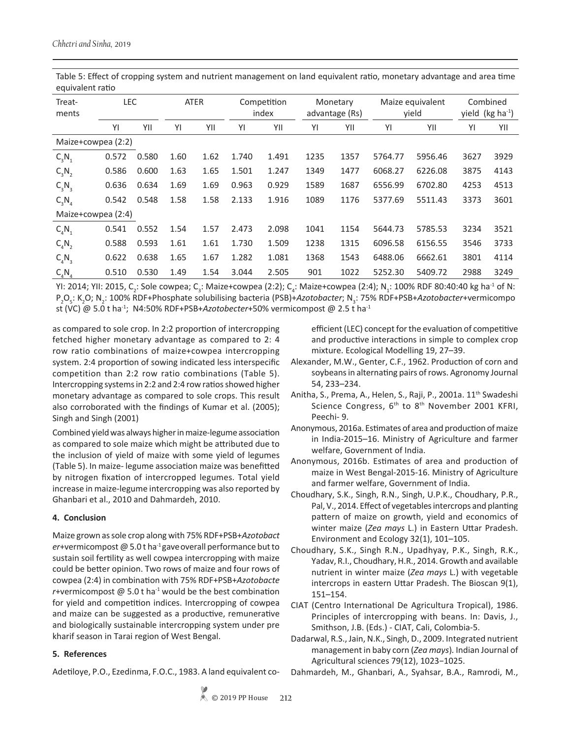Table 5: Effect of cropping system and nutrient management on land equivalent ratio, monetary advantage and area time equivalent ratio

| Treat-<br>ments      | <b>LEC</b> |       | <b>ATER</b><br>Competition<br>index |      |       | Maize equivalent<br>Monetary<br>advantage (Rs)<br>vield |      |      | Combined<br>yield ( $kg$ ha <sup>-1</sup> ) |         |      |      |
|----------------------|------------|-------|-------------------------------------|------|-------|---------------------------------------------------------|------|------|---------------------------------------------|---------|------|------|
|                      | ΥI         | YII   | YI                                  | YII  | ΥI    | YII                                                     | ΥI   | YII  | ΥI                                          | YII     | YI   | YII  |
| Maize+cowpea (2:2)   |            |       |                                     |      |       |                                                         |      |      |                                             |         |      |      |
| $C_3N_1$             | 0.572      | 0.580 | 1.60                                | 1.62 | 1.740 | 1.491                                                   | 1235 | 1357 | 5764.77                                     | 5956.46 | 3627 | 3929 |
| $C_3N_2$             | 0.586      | 0.600 | 1.63                                | 1.65 | 1.501 | 1.247                                                   | 1349 | 1477 | 6068.27                                     | 6226.08 | 3875 | 4143 |
| $C_3N_3$             | 0.636      | 0.634 | 1.69                                | 1.69 | 0.963 | 0.929                                                   | 1589 | 1687 | 6556.99                                     | 6702.80 | 4253 | 4513 |
| $C_3N_A$             | 0.542      | 0.548 | 1.58                                | 1.58 | 2.133 | 1.916                                                   | 1089 | 1176 | 5377.69                                     | 5511.43 | 3373 | 3601 |
| Maize+cowpea (2:4)   |            |       |                                     |      |       |                                                         |      |      |                                             |         |      |      |
| $C_A N_1$            | 0.541      | 0.552 | 1.54                                | 1.57 | 2.473 | 2.098                                                   | 1041 | 1154 | 5644.73                                     | 5785.53 | 3234 | 3521 |
| $C_4N_2$             | 0.588      | 0.593 | 1.61                                | 1.61 | 1.730 | 1.509                                                   | 1238 | 1315 | 6096.58                                     | 6156.55 | 3546 | 3733 |
| $C_{\rm A}N_{\rm A}$ | 0.622      | 0.638 | 1.65                                | 1.67 | 1.282 | 1.081                                                   | 1368 | 1543 | 6488.06                                     | 6662.61 | 3801 | 4114 |
| $C_aN_a$             | 0.510      | 0.530 | 1.49                                | 1.54 | 3.044 | 2.505                                                   | 901  | 1022 | 5252.30                                     | 5409.72 | 2988 | 3249 |

YI: 2014; YII: 2015, C<sub>2</sub>: Sole cowpea; C<sub>3</sub>: Maize+cowpea (2:2); C<sub>4</sub>: Maize+cowpea (2:4); N<sub>1</sub>: 100% RDF 80:40:40 kg ha<sup>-1</sup> of N: P<sub>2</sub>O<sub>5</sub>: K<sub>2</sub>O; N<sub>2</sub>: 100% RDF+Phosphate solubilising bacteria (PSB)+*Azotobacter*; N<sub>3</sub>: 75% RDF+PSB+*Azotobacter*+vermicompo st (VC) @ 5.0 t ha-1; N4:50% RDF+PSB+*Azotobecter*+50% vermicompost @ 2.5 t ha-1

as compared to sole crop. In 2:2 proportion of intercropping fetched higher monetary advantage as compared to 2: 4 row ratio combinations of maize+cowpea intercropping system. 2:4 proportion of sowing indicated less interspecific competition than 2:2 row ratio combinations (Table 5). Intercropping systems in 2:2 and 2:4 row ratios showed higher monetary advantage as compared to sole crops. This result also corroborated with the findings of Kumar et al. (2005); Singh and Singh (2001)

Combined yield was always higher in maize-legume association as compared to sole maize which might be attributed due to the inclusion of yield of maize with some yield of legumes (Table 5). In maize- legume association maize was benefitted by nitrogen fixation of intercropped legumes. Total yield increase in maize-legume intercropping was also reported by Ghanbari et al., 2010 and Dahmardeh, 2010.

# **4. Conclusion**

Maize grown as sole crop along with 75% RDF+PSB+*Azotobact er*+vermicompost @ 5.0 t ha-1 gaveoverall performance but to sustain soil fertility as well cowpea intercropping with maize could be better opinion. Two rows of maize and four rows of cowpea (2:4) in combination with 75% RDF+PSB+*Azotobacte r*+vermicompost  $\omega$  5.0 t ha<sup>-1</sup> would be the best combination for yield and competition indices. Intercropping of cowpea and maize can be suggested as a productive, remunerative and biologically sustainable intercropping system under pre kharif season in Tarai region of West Bengal.

### **5. References**

Adetiloye, P.O., Ezedinma, F.O.C., 1983. A land equivalent co-

efficient (LEC) concept for the evaluation of competitive and productive interactions in simple to complex crop mixture. Ecological Modelling 19, 27–39.

- Alexander, M.W., Genter, C.F., 1962. Production of corn and soybeans in alternating pairs of rows. Agronomy Journal 54, 233–234.
- Anitha, S., Prema, A., Helen, S., Raji, P., 2001a. 11<sup>th</sup> Swadeshi Science Congress, 6<sup>th</sup> to 8<sup>th</sup> November 2001 KFRI, Peechi- 9.
- Anonymous, 2016a. Estimates of area and production of maize in India-2015–16. Ministry of Agriculture and farmer welfare, Government of India.
- Anonymous, 2016b. Estimates of area and production of maize in West Bengal-2015-16. Ministry of Agriculture and farmer welfare, Government of India.
- Choudhary, S.K., Singh, R.N., Singh, U.P.K., Choudhary, P.R., Pal, V., 2014. Effect of vegetables intercrops and planting pattern of maize on growth, yield and economics of winter maize (*Zea mays* L.) in Eastern Uttar Pradesh. Environment and Ecology 32(1), 101–105.
- Choudhary, S.K., Singh R.N., Upadhyay, P.K., Singh, R.K., Yadav, R.I., Choudhary, H.R., 2014. Growth and available nutrient in winter maize (*Zea mays* L.) with vegetable intercrops in eastern Uttar Pradesh. The Bioscan 9(1), 151–154.
- CIAT (Centro International De Agricultura Tropical), 1986. Principles of intercropping with beans. In: Davis, J., Smithson, J.B. (Eds.) - CIAT, Cali, Colombia-5.
- Dadarwal, R.S., Jain, N.K., Singh, D., 2009. Integrated nutrient management in baby corn (*Zea mays*)*.* Indian Journal of Agricultural sciences 79(12), 1023−1025.

Dahmardeh, M., Ghanbari, A., Syahsar, B.A., Ramrodi, M.,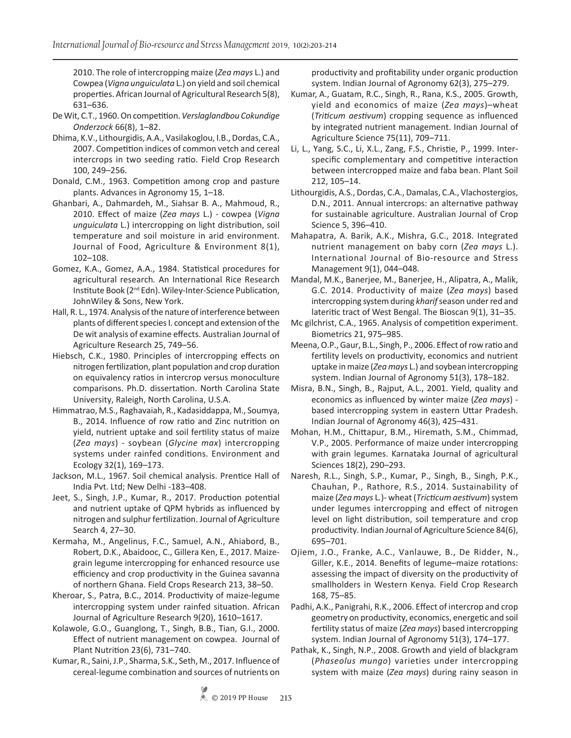2010. The role of intercropping maize (*Zea mays* L.) and Cowpea (*Vigna unguiculata* L.) on yield and soil chemical properties. African Journal of Agricultural Research 5(8), 631–636.

- De Wit, C.T., 1960. On competition. *Verslaglandbou Cokundige Onderzock* 66(8), 1–82.
- Dhima, K.V., Lithourgidis, A.A., Vasilakoglou, I.B., Dordas, C.A., 2007. Competition indices of common vetch and cereal intercrops in two seeding ratio. Field Crop Research 100, 249–256.
- Donald, C.M., 1963. Competition among crop and pasture plants. Advances in Agronomy 15, 1–18.
- Ghanbari, A., Dahmardeh, M., Siahsar B. A., Mahmoud, R., 2010. Effect of maize (*Zea mays* L.) - cowpea (*Vigna unguiculata* L.) intercropping on light distribution, soil temperature and soil moisture in arid environment. Journal of Food, Agriculture & Environment 8(1), 102–108.
- Gomez, K.A., Gomez, A.A., 1984. Statistical procedures for agricultural research*.* An International Rice Research Institute Book (2nd Edn). Wiley-Inter-Science Publication, JohnWiley & Sons, New York.
- Hall, R. L., 1974. Analysis of the nature of interference between plants of different species I. concept and extension of the De wit analysis of examine effects. Australian Journal of Agriculture Research 25, 749–56.
- Hiebsch, C.K., 1980. Principles of intercropping effects on nitrogen fertilization, plant population and crop duration on equivalency ratios in intercrop versus monoculture comparisons. Ph.D. dissertation. North Carolina State University, Raleigh, North Carolina, U.S.A.
- Himmatrao, M.S., Raghavaiah, R., Kadasiddappa, M., Soumya, B., 2014. Influence of row ratio and Zinc nutrition on yield, nutrient uptake and soil fertility status of maize (*Zea mays*) - soybean (*Glycine max*) intercropping systems under rainfed conditions. Environment and Ecology 32(1), 169–173.
- Jackson, M.L., 1967. Soil chemical analysis. Prentice Hall of India Pvt. Ltd; New Delhi -183–408.
- Jeet, S., Singh, J.P., Kumar, R., 2017. Production potential and nutrient uptake of QPM hybrids as influenced by nitrogen and sulphur fertilization. Journal of Agriculture Search 4, 27–30.
- Kermaha, M., Angelinus, F.C., Samuel, A.N., Ahiabord, B., Robert, D.K., Abaidooc, C., Gillera Ken, E., 2017. Maizegrain legume intercropping for enhanced resource use efficiency and crop productivity in the Guinea savanna of northern Ghana. Field Crops Research 213, 38–50.
- Kheroar, S., Patra, B.C., 2014. Productivity of maize-legume intercropping system under rainfed situation. African Journal of Agriculture Research 9(20), 1610–1617.
- Kolawole, G.O., Guanglong, T., Singh, B.B., Tian, G.I., 2000. Effect of nutrient management on cowpea. Journal of Plant Nutrition 23(6), 731–740.
- Kumar, R., Saini,J.P., Sharma, S.K., Seth, M., 2017. Influence of cereal-legume combination and sources of nutrients on

productivity and profitability under organic production system. Indian Journal of Agronomy 62(3), 275–279.

- Kumar, A., Guatam, R.C., Singh, R., Rana, K.S., 2005. Growth, yield and economics of maize (*Zea mays*)–wheat (*Triticum aestivum*) cropping sequence as influenced by integrated nutrient management. Indian Journal of Agriculture Science 75(11), 709–711.
- Li, L., Yang, S.C., Li, X.L., Zang, F.S., Christie, P., 1999. Interspecific complementary and competitive interaction between intercropped maize and faba bean. Plant Soil 212, 105–14.
- Lithourgidis, A.S., Dordas, C.A., Damalas, C.A., Vlachostergios, D.N., 2011. Annual intercrops: an alternative pathway for sustainable agriculture. Australian Journal of Crop Science 5, 396–410.
- Mahapatra, A. Barik, A.K., Mishra, G.C., 2018. Integrated nutrient management on baby corn (*Zea mays* L.). International Journal of Bio-resource and Stress Management 9(1), 044–048.
- Mandal, M.K., Banerjee, M., Banerjee, H., Alipatra, A., Malik, G.C. 2014. Productivity of maize (*Zea mays*) based intercropping system during *kharif* season under red and lateritic tract of West Bengal. The Bioscan 9(1), 31–35.
- Mc gilchrist, C.A., 1965. Analysis of competition experiment. Biometrics 21, 975–985.
- Meena, O.P., Gaur, B.L., Singh, P., 2006. Effect of row ratio and fertility levels on productivity, economics and nutrient uptake in maize (*Zea mays* L.) and soybean intercropping system. Indian Journal of Agronomy 51(3), 178–182.
- Misra, B.N., Singh, B., Rajput, A.L., 2001. Yield, quality and economics as influenced by winter maize (*Zea mays*) based intercropping system in eastern Uttar Pradesh. Indian Journal of Agronomy 46(3), 425–431.
- Mohan, H.M., Chittapur, B.M., Hiremath, S.M., Chimmad, V.P., 2005. Performance of maize under intercropping with grain legumes. Karnataka Journal of agricultural Sciences 18(2), 290–293.
- Naresh, R.L., Singh, S.P., Kumar, P., Singh, B., Singh, P.K., Chauhan, P., Rathore, R.S., 2014. Sustainability of maize (*Zea mays* L*.*)- wheat (*Tricticum aestivum*) system under legumes intercropping and effect of nitrogen level on light distribution, soil temperature and crop productivity. Indian Journal of Agriculture Science 84(6), 695–701.
- Ojiem, J.O., Franke, A.C., Vanlauwe, B., De Ridder, N., Giller, K.E., 2014. Benefits of legume–maize rotations: assessing the impact of diversity on the productivity of smallholders in Western Kenya*.* Field Crop Research 168, 75–85.
- Padhi, A.K., Panigrahi, R.K., 2006. Effect of intercrop and crop geometry on productivity, economics, energetic and soil fertility status of maize (*Zea mays*) based intercropping system. Indian Journal of Agronomy 51(3), 174–177.
- Pathak, K., Singh, N.P., 2008. Growth and yield of blackgram (*Phaseolus mungo*) varieties under intercropping system with maize (*Zea mays*) during rainy season in